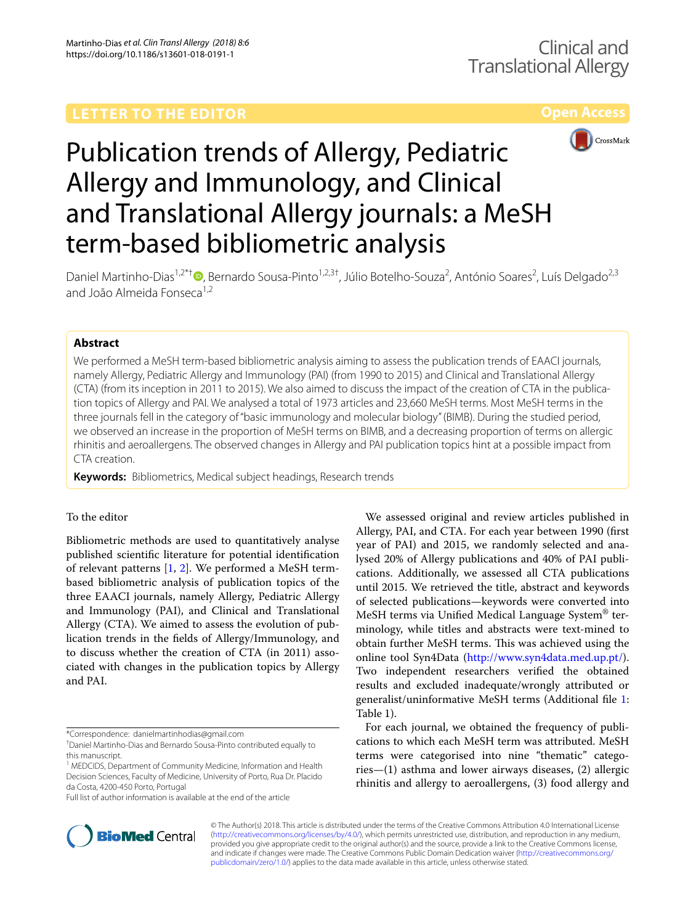



# Publication trends of Allergy, Pediatric Allergy and Immunology, and Clinical and Translational Allergy journals: a MeSH term‑based bibliometric analysis

Daniel Martinho-Dias<sup>1,2\*†</sup><sup>®</sup>[,](http://orcid.org/0000-0001-6201-6364) Bernardo Sousa-Pinto<sup>1,2,3†</sup>, Júlio Botelho-Souza<sup>2</sup>, António Soares<sup>2</sup>, Luís Delgado<sup>2,3</sup> and João Almeida Fonseca<sup>1,2</sup>

# **Abstract**

We performed a MeSH term-based bibliometric analysis aiming to assess the publication trends of EAACI journals, namely Allergy, Pediatric Allergy and Immunology (PAI) (from 1990 to 2015) and Clinical and Translational Allergy (CTA) (from its inception in 2011 to 2015). We also aimed to discuss the impact of the creation of CTA in the publica‑ tion topics of Allergy and PAI. We analysed a total of 1973 articles and 23,660 MeSH terms. Most MeSH terms in the three journals fell in the category of "basic immunology and molecular biology" (BIMB). During the studied period, we observed an increase in the proportion of MeSH terms on BIMB, and a decreasing proportion of terms on allergic rhinitis and aeroallergens. The observed changes in Allergy and PAI publication topics hint at a possible impact from CTA creation.

**Keywords:** Bibliometrics, Medical subject headings, Research trends

# To the editor

Bibliometric methods are used to quantitatively analyse published scientifc literature for potential identifcation of relevant patterns [[1,](#page-3-0) [2\]](#page-3-1). We performed a MeSH termbased bibliometric analysis of publication topics of the three EAACI journals, namely Allergy, Pediatric Allergy and Immunology (PAI), and Clinical and Translational Allergy (CTA). We aimed to assess the evolution of publication trends in the felds of Allergy/Immunology, and to discuss whether the creation of CTA (in 2011) associated with changes in the publication topics by Allergy and PAI.

<sup>1</sup> MEDCIDS, Department of Community Medicine, Information and Health Decision Sciences, Faculty of Medicine, University of Porto, Rua Dr. Placido da Costa, 4200‑450 Porto, Portugal

Full list of author information is available at the end of the article



For each journal, we obtained the frequency of publications to which each MeSH term was attributed. MeSH terms were categorised into nine "thematic" categories—(1) asthma and lower airways diseases, (2) allergic rhinitis and allergy to aeroallergens, (3) food allergy and



© The Author(s) 2018. This article is distributed under the terms of the Creative Commons Attribution 4.0 International License [\(http://creativecommons.org/licenses/by/4.0/\)](http://creativecommons.org/licenses/by/4.0/), which permits unrestricted use, distribution, and reproduction in any medium, provided you give appropriate credit to the original author(s) and the source, provide a link to the Creative Commons license, and indicate if changes were made. The Creative Commons Public Domain Dedication waiver ([http://creativecommons.org/](http://creativecommons.org/publicdomain/zero/1.0/) [publicdomain/zero/1.0/](http://creativecommons.org/publicdomain/zero/1.0/)) applies to the data made available in this article, unless otherwise stated.

<sup>\*</sup>Correspondence: danielmartinhodias@gmail.com

<sup>†</sup> Daniel Martinho-Dias and Bernardo Sousa-Pinto contributed equally to this manuscript.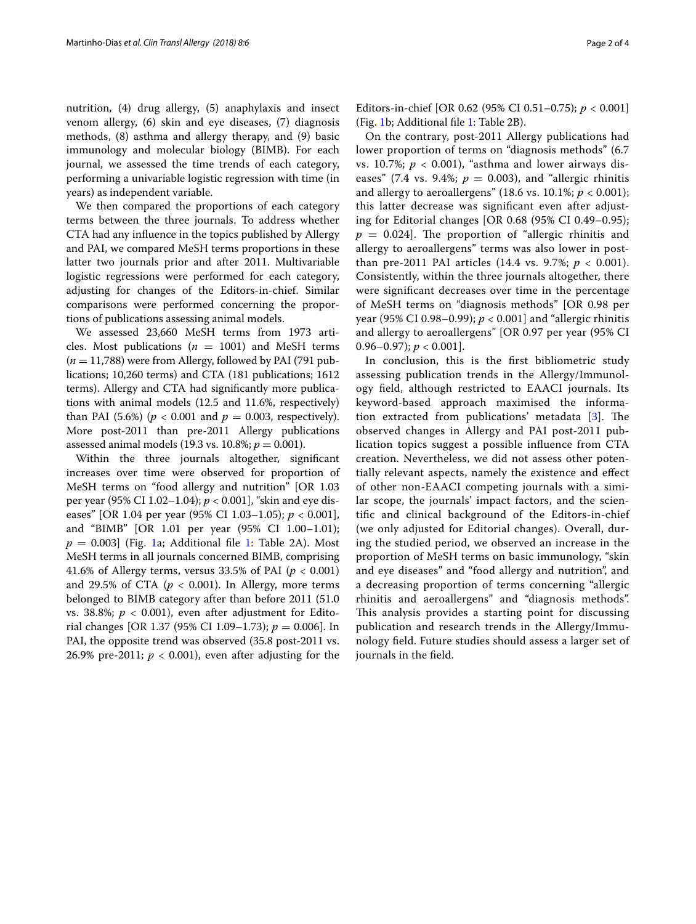nutrition, (4) drug allergy, (5) anaphylaxis and insect venom allergy, (6) skin and eye diseases, (7) diagnosis methods, (8) asthma and allergy therapy, and (9) basic immunology and molecular biology (BIMB). For each journal, we assessed the time trends of each category, performing a univariable logistic regression with time (in years) as independent variable.

We then compared the proportions of each category terms between the three journals. To address whether CTA had any infuence in the topics published by Allergy and PAI, we compared MeSH terms proportions in these latter two journals prior and after 2011. Multivariable logistic regressions were performed for each category, adjusting for changes of the Editors-in-chief. Similar comparisons were performed concerning the proportions of publications assessing animal models.

We assessed 23,660 MeSH terms from 1973 articles. Most publications  $(n = 1001)$  and MeSH terms  $(n = 11,788)$  were from Allergy, followed by PAI (791 publications; 10,260 terms) and CTA (181 publications; 1612 terms). Allergy and CTA had signifcantly more publications with animal models (12.5 and 11.6%, respectively) than PAI (5.6%) ( $p < 0.001$  and  $p = 0.003$ , respectively). More post-2011 than pre-2011 Allergy publications assessed animal models (19.3 vs. 10.8%; *p* = 0.001).

Within the three journals altogether, signifcant increases over time were observed for proportion of MeSH terms on "food allergy and nutrition" [OR 1.03 per year (95% CI 1.02–1.04); *p* < 0.001], "skin and eye diseases" [OR 1.04 per year (95% CI 1.03–1.05); *p* < 0.001], and "BIMB" [OR 1.01 per year (95% CI 1.00–1.01);  $p = 0.003$ ] (Fig. [1](#page-2-0)a; Additional file [1:](#page-3-2) Table 2A). Most MeSH terms in all journals concerned BIMB, comprising 41.6% of Allergy terms, versus  $33.5\%$  of PAI ( $p < 0.001$ ) and 29.5% of CTA ( $p < 0.001$ ). In Allergy, more terms belonged to BIMB category after than before 2011 (51.0 vs. 38.8%;  $p < 0.001$ ), even after adjustment for Editorial changes [OR 1.37 (95% CI 1.09–1.73); *p* = 0.006]. In PAI, the opposite trend was observed (35.8 post-2011 vs. 26.9% pre-2011;  $p < 0.001$ ), even after adjusting for the Editors-in-chief [OR 0.62 (95% CI 0.51–0.75); *p* < 0.001] (Fig. [1b](#page-2-0); Additional fle [1](#page-3-2): Table 2B).

On the contrary, post-2011 Allergy publications had lower proportion of terms on "diagnosis methods" (6.7 vs. 10.7%;  $p < 0.001$ ), "asthma and lower airways diseases" (7.4 vs. 9.4%;  $p = 0.003$ ), and "allergic rhinitis and allergy to aeroallergens" (18.6 vs. 10.1%; *p* < 0.001); this latter decrease was signifcant even after adjusting for Editorial changes [OR 0.68 (95% CI 0.49–0.95);  $p = 0.024$ ]. The proportion of "allergic rhinitis and allergy to aeroallergens" terms was also lower in postthan pre-2011 PAI articles (14.4 vs. 9.7%;  $p < 0.001$ ). Consistently, within the three journals altogether, there were signifcant decreases over time in the percentage of MeSH terms on "diagnosis methods" [OR 0.98 per year (95% CI 0.98–0.99); *p* < 0.001] and "allergic rhinitis and allergy to aeroallergens" [OR 0.97 per year (95% CI 0.96–0.97);  $p < 0.001$ .

In conclusion, this is the frst bibliometric study assessing publication trends in the Allergy/Immunology feld, although restricted to EAACI journals. Its keyword-based approach maximised the information extracted from publications' metadata  $[3]$  $[3]$ . The observed changes in Allergy and PAI post-2011 publication topics suggest a possible infuence from CTA creation. Nevertheless, we did not assess other potentially relevant aspects, namely the existence and efect of other non-EAACI competing journals with a similar scope, the journals' impact factors, and the scientifc and clinical background of the Editors-in-chief (we only adjusted for Editorial changes). Overall, during the studied period, we observed an increase in the proportion of MeSH terms on basic immunology, "skin and eye diseases" and "food allergy and nutrition", and a decreasing proportion of terms concerning "allergic rhinitis and aeroallergens" and "diagnosis methods". This analysis provides a starting point for discussing publication and research trends in the Allergy/Immunology feld. Future studies should assess a larger set of journals in the feld.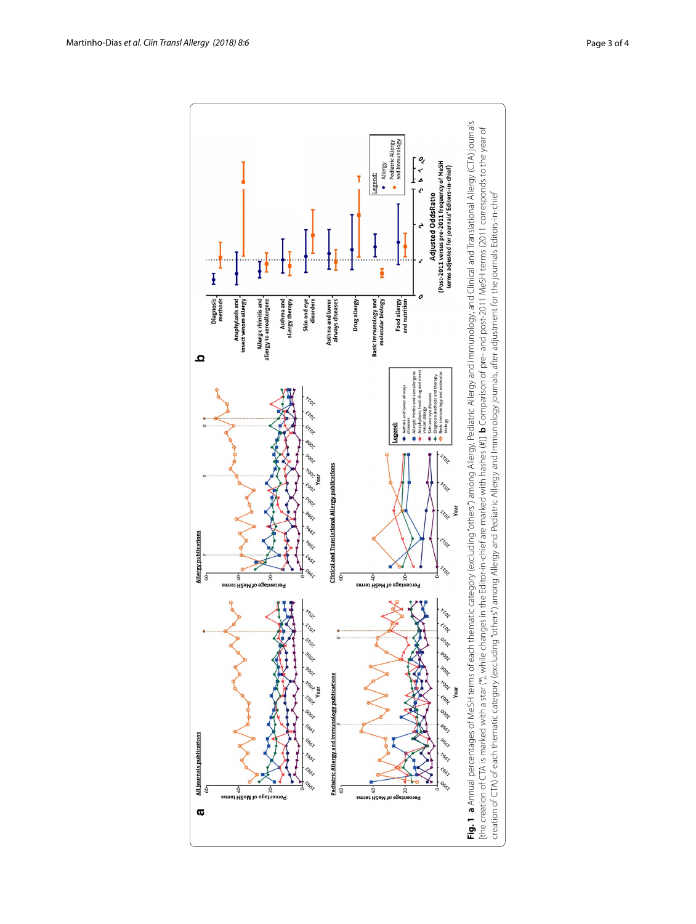<span id="page-2-0"></span>